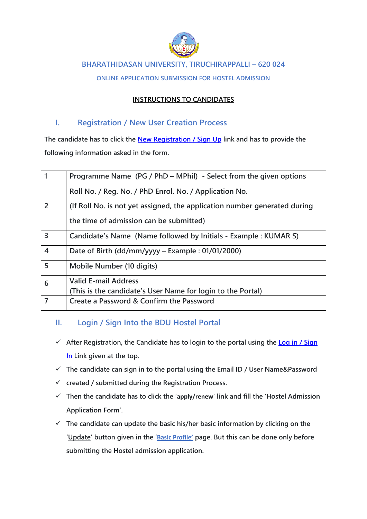

#### **BHARATHIDASAN UNIVERSITY, TIRUCHIRAPPALLI – 620 024**

**ONLINE APPLICATION SUBMISSION FOR HOSTEL ADMISSION**

#### **INSTRUCTIONS TO CANDIDATES**

#### **I. Registration / New User Creation Process**

**The candidate has to click the [New Registration / Sign Up](http://oms.bdu.ac.in/hostels/users/registration.php) link and has to provide the following information asked in the form.**

|                | Programme Name (PG / PhD – MPhil) - Select from the given options         |
|----------------|---------------------------------------------------------------------------|
| $\overline{2}$ | Roll No. / Reg. No. / PhD Enrol. No. / Application No.                    |
|                | (If Roll No. is not yet assigned, the application number generated during |
|                | the time of admission can be submitted)                                   |
| $\overline{3}$ | Candidate's Name (Name followed by Initials - Example: KUMAR S)           |
| $\overline{4}$ | Date of Birth (dd/mm/yyyy – Example : 01/01/2000)                         |
| 5              | Mobile Number (10 digits)                                                 |
| 6              | <b>Valid E-mail Address</b>                                               |
|                | (This is the candidate's User Name for login to the Portal)               |
| 7              | Create a Password & Confirm the Password                                  |

### **II. Login / Sign Into the BDU Hostel Portal**

- **After Registration, the Candidate has to login to the portal using the [Log in / Sign](http://oms.bdu.ac.in/hostels/users/)  [In](http://oms.bdu.ac.in/hostels/users/) Link given at the top.**
- **The candidate can sign in to the portal using the Email ID / User Name&Password**
- **created / submitted during the Registration Process.**
- **Then the candidate has to click the 'apply/renew' link and fill the 'Hostel Admission Application Form'.**
- **The candidate can update the basic his/her basic information by clicking on the 'Update' button given in the 'Basic Profile' page. But this can be done only before submitting the Hostel admission application.**